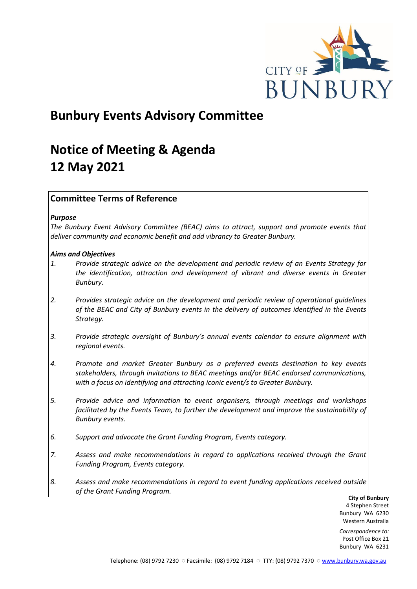

# **Bunbury Events Advisory Committee**

# **Notice of Meeting & Agenda 12 May 2021**

# **Committee Terms of Reference**

## *Purpose*

*The Bunbury Event Advisory Committee (BEAC) aims to attract, support and promote events that deliver community and economic benefit and add vibrancy to Greater Bunbury.*

## *Aims and Objectives*

- *1. Provide strategic advice on the development and periodic review of an Events Strategy for the identification, attraction and development of vibrant and diverse events in Greater Bunbury.*
- *2. Provides strategic advice on the development and periodic review of operational guidelines of the BEAC and City of Bunbury events in the delivery of outcomes identified in the Events Strategy.*
- *3. Provide strategic oversight of Bunbury's annual events calendar to ensure alignment with regional events.*
- *4. Promote and market Greater Bunbury as a preferred events destination to key events stakeholders, through invitations to BEAC meetings and/or BEAC endorsed communications, with a focus on identifying and attracting iconic event/s to Greater Bunbury.*
- *5. Provide advice and information to event organisers, through meetings and workshops*  facilitated by the Events Team, to further the development and improve the sustainability of *Bunbury events.*
- *6. Support and advocate the Grant Funding Program, Events category.*
- *7. Assess and make recommendations in regard to applications received through the Grant Funding Program, Events category.*
- *8. Assess and make recommendations in regard to event funding applications received outside of the Grant Funding Program.*

**City of Bunbury** 4 Stephen Street Bunbury WA 6230 Western Australia

*Correspondence to:* Post Office Box 21 Bunbury WA 6231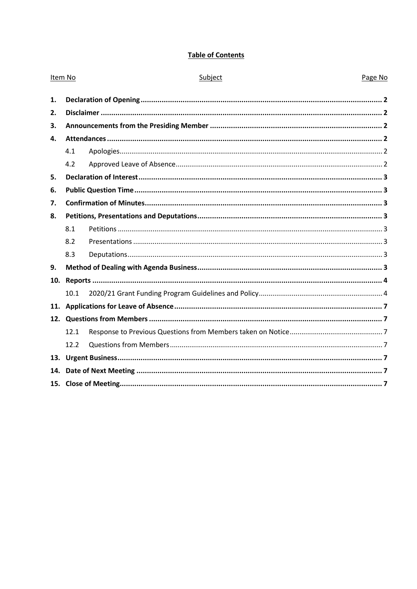# **Table of Contents**

| Item No      |      | Subject | Page No |  |
|--------------|------|---------|---------|--|
| 1.           |      |         |         |  |
| 2.           |      |         |         |  |
| 3.           |      |         |         |  |
| $\mathbf{4}$ |      |         |         |  |
|              | 4.1  |         |         |  |
|              | 4.2  |         |         |  |
| 5.           |      |         |         |  |
| 6.           |      |         |         |  |
| 7.           |      |         |         |  |
| 8.           |      |         |         |  |
|              | 8.1  |         |         |  |
|              | 8.2  |         |         |  |
|              | 8.3  |         |         |  |
| 9.           |      |         |         |  |
| 10.          |      |         |         |  |
|              | 10.1 |         |         |  |
| 11.          |      |         |         |  |
|              |      |         |         |  |
|              | 12.1 |         |         |  |
|              | 12.2 |         |         |  |
|              |      |         |         |  |
| 14.          |      |         |         |  |
|              |      |         |         |  |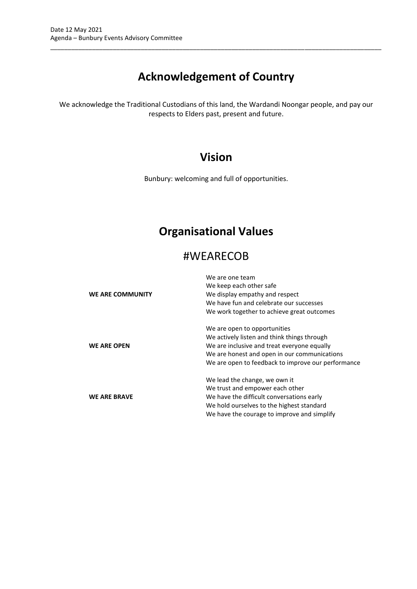# **Acknowledgement of Country**

\_\_\_\_\_\_\_\_\_\_\_\_\_\_\_\_\_\_\_\_\_\_\_\_\_\_\_\_\_\_\_\_\_\_\_\_\_\_\_\_\_\_\_\_\_\_\_\_\_\_\_\_\_\_\_\_\_\_\_\_\_\_\_\_\_\_\_\_\_\_\_\_\_\_\_\_\_\_\_\_\_\_\_\_\_\_\_\_\_\_\_\_\_\_\_

We acknowledge the Traditional Custodians of this land, the Wardandi Noongar people, and pay our respects to Elders past, present and future.

# **Vision**

Bunbury: welcoming and full of opportunities.

# **Organisational Values**

# #WEARECOB

| WE ARE COMMUNITY    | We are one team<br>We keep each other safe<br>We display empathy and respect<br>We have fun and celebrate our successes<br>We work together to achieve great outcomes                                                            |
|---------------------|----------------------------------------------------------------------------------------------------------------------------------------------------------------------------------------------------------------------------------|
| <b>WE ARE OPEN</b>  | We are open to opportunities<br>We actively listen and think things through<br>We are inclusive and treat everyone equally<br>We are honest and open in our communications<br>We are open to feedback to improve our performance |
| <b>WE ARE BRAVE</b> | We lead the change, we own it<br>We trust and empower each other<br>We have the difficult conversations early<br>We hold ourselves to the highest standard<br>We have the courage to improve and simplify                        |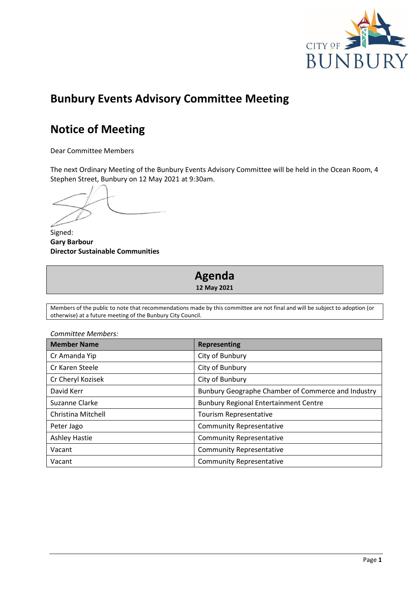

# **Bunbury Events Advisory Committee Meeting**

# **Notice of Meeting**

Dear Committee Members

The next Ordinary Meeting of the Bunbury Events Advisory Committee will be held in the Ocean Room, 4 Stephen Street, Bunbury on 12 May 2021 at 9:30am.

Signed: **Gary Barbour Director Sustainable Communities**

# **Agenda 12 May 2021**

Members of the public to note that recommendations made by this committee are not final and will be subject to adoption (or otherwise) at a future meeting of the Bunbury City Council.

| <b>Member Name</b>   | <b>Representing</b>                                |
|----------------------|----------------------------------------------------|
| Cr Amanda Yip        | City of Bunbury                                    |
| Cr Karen Steele      | City of Bunbury                                    |
| Cr Cheryl Kozisek    | City of Bunbury                                    |
| David Kerr           | Bunbury Geographe Chamber of Commerce and Industry |
| Suzanne Clarke       | <b>Bunbury Regional Entertainment Centre</b>       |
| Christina Mitchell   | Tourism Representative                             |
| Peter Jago           | <b>Community Representative</b>                    |
| <b>Ashley Hastie</b> | <b>Community Representative</b>                    |
| Vacant               | <b>Community Representative</b>                    |
| Vacant               | <b>Community Representative</b>                    |

*Committee Members:*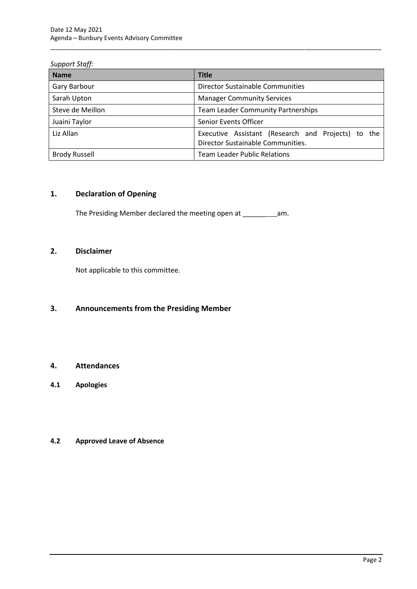## *Support Staff:*

| <b>Name</b>          | <b>Title</b>                                                                            |  |  |  |
|----------------------|-----------------------------------------------------------------------------------------|--|--|--|
| Gary Barbour         | <b>Director Sustainable Communities</b>                                                 |  |  |  |
| Sarah Upton          | <b>Manager Community Services</b>                                                       |  |  |  |
| Steve de Meillon     | <b>Team Leader Community Partnerships</b>                                               |  |  |  |
| Juaini Taylor        | Senior Events Officer                                                                   |  |  |  |
| Liz Allan            | Executive Assistant (Research and Projects) to the<br>Director Sustainable Communities. |  |  |  |
| <b>Brody Russell</b> | <b>Team Leader Public Relations</b>                                                     |  |  |  |

\_\_\_\_\_\_\_\_\_\_\_\_\_\_\_\_\_\_\_\_\_\_\_\_\_\_\_\_\_\_\_\_\_\_\_\_\_\_\_\_\_\_\_\_\_\_\_\_\_\_\_\_\_\_\_\_\_\_\_\_\_\_\_\_\_\_\_\_\_\_\_\_\_\_\_\_\_\_\_\_\_\_\_\_\_\_\_\_\_\_\_\_\_\_\_

# <span id="page-4-0"></span>**1. Declaration of Opening**

The Presiding Member declared the meeting open at \_\_\_\_\_\_\_\_\_\_\_\_\_\_\_\_\_\_\_\_\_\_\_\_\_\_\_\_\_\_\_

# <span id="page-4-1"></span>**2. Disclaimer**

Not applicable to this committee.

# <span id="page-4-2"></span>**3. Announcements from the Presiding Member**

# <span id="page-4-3"></span>**4. Attendances**

<span id="page-4-4"></span>**4.1 Apologies**

# <span id="page-4-5"></span>**4.2 Approved Leave of Absence**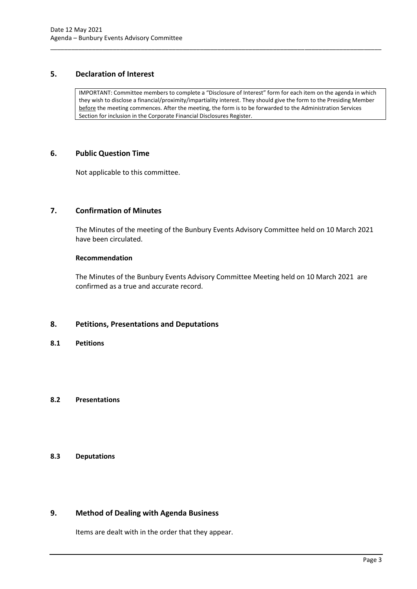# <span id="page-5-0"></span>**5. Declaration of Interest**

IMPORTANT: Committee members to complete a "Disclosure of Interest" form for each item on the agenda in which they wish to disclose a financial/proximity/impartiality interest. They should give the form to the Presiding Member before the meeting commences. After the meeting, the form is to be forwarded to the Administration Services Section for inclusion in the Corporate Financial Disclosures Register.

\_\_\_\_\_\_\_\_\_\_\_\_\_\_\_\_\_\_\_\_\_\_\_\_\_\_\_\_\_\_\_\_\_\_\_\_\_\_\_\_\_\_\_\_\_\_\_\_\_\_\_\_\_\_\_\_\_\_\_\_\_\_\_\_\_\_\_\_\_\_\_\_\_\_\_\_\_\_\_\_\_\_\_\_\_\_\_\_\_\_\_\_\_\_\_

## <span id="page-5-1"></span>**6. Public Question Time**

Not applicable to this committee.

# <span id="page-5-2"></span>**7. Confirmation of Minutes**

The Minutes of the meeting of the Bunbury Events Advisory Committee held on 10 March 2021 have been circulated.

#### **Recommendation**

The Minutes of the Bunbury Events Advisory Committee Meeting held on 10 March 2021 are confirmed as a true and accurate record.

#### <span id="page-5-3"></span>**8. Petitions, Presentations and Deputations**

<span id="page-5-4"></span>**8.1 Petitions**

## <span id="page-5-5"></span>**8.2 Presentations**

# <span id="page-5-6"></span>**8.3 Deputations**

# <span id="page-5-7"></span>**9. Method of Dealing with Agenda Business**

Items are dealt with in the order that they appear.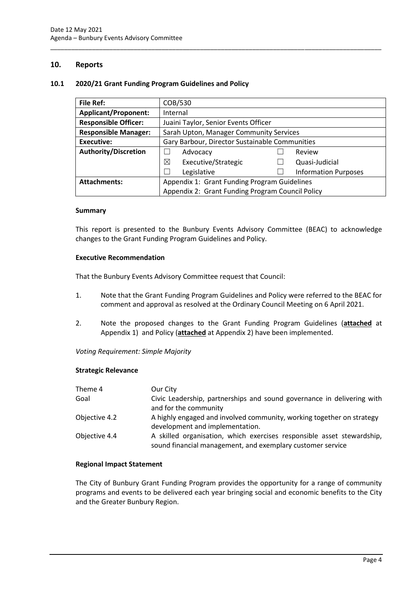## <span id="page-6-0"></span>**10. Reports**

#### <span id="page-6-1"></span>**10.1 2020/21 Grant Funding Program Guidelines and Policy**

| <b>File Ref:</b>                                                    | COB/530                                          |  |                             |  |
|---------------------------------------------------------------------|--------------------------------------------------|--|-----------------------------|--|
| <b>Applicant/Proponent:</b>                                         | Internal                                         |  |                             |  |
| <b>Responsible Officer:</b>                                         | Juaini Taylor, Senior Events Officer             |  |                             |  |
| <b>Responsible Manager:</b>                                         | Sarah Upton, Manager Community Services          |  |                             |  |
| Executive:                                                          | Gary Barbour, Director Sustainable Communities   |  |                             |  |
| <b>Authority/Discretion</b>                                         | Advocacy                                         |  | Review                      |  |
|                                                                     | ⊠<br>Executive/Strategic                         |  | Quasi-Judicial              |  |
|                                                                     | Legislative                                      |  | <b>Information Purposes</b> |  |
| <b>Attachments:</b><br>Appendix 1: Grant Funding Program Guidelines |                                                  |  |                             |  |
|                                                                     | Appendix 2: Grant Funding Program Council Policy |  |                             |  |

\_\_\_\_\_\_\_\_\_\_\_\_\_\_\_\_\_\_\_\_\_\_\_\_\_\_\_\_\_\_\_\_\_\_\_\_\_\_\_\_\_\_\_\_\_\_\_\_\_\_\_\_\_\_\_\_\_\_\_\_\_\_\_\_\_\_\_\_\_\_\_\_\_\_\_\_\_\_\_\_\_\_\_\_\_\_\_\_\_\_\_\_\_\_\_

#### **Summary**

This report is presented to the Bunbury Events Advisory Committee (BEAC) to acknowledge changes to the Grant Funding Program Guidelines and Policy.

#### **Executive Recommendation**

That the Bunbury Events Advisory Committee request that Council:

- 1. Note that the Grant Funding Program Guidelines and Policy were referred to the BEAC for comment and approval as resolved at the Ordinary Council Meeting on 6 April 2021.
- 2. Note the proposed changes to the Grant Funding Program Guidelines (**attached** at Appendix 1) and Policy (**attached** at Appendix 2) have been implemented.

*Voting Requirement: Simple Majority* 

#### **Strategic Relevance**

| Theme 4       | Our City                                                                                                                             |
|---------------|--------------------------------------------------------------------------------------------------------------------------------------|
| Goal          | Civic Leadership, partnerships and sound governance in delivering with<br>and for the community                                      |
| Objective 4.2 | A highly engaged and involved community, working together on strategy<br>development and implementation.                             |
| Objective 4.4 | A skilled organisation, which exercises responsible asset stewardship,<br>sound financial management, and exemplary customer service |

#### **Regional Impact Statement**

The City of Bunbury Grant Funding Program provides the opportunity for a range of community programs and events to be delivered each year bringing social and economic benefits to the City and the Greater Bunbury Region.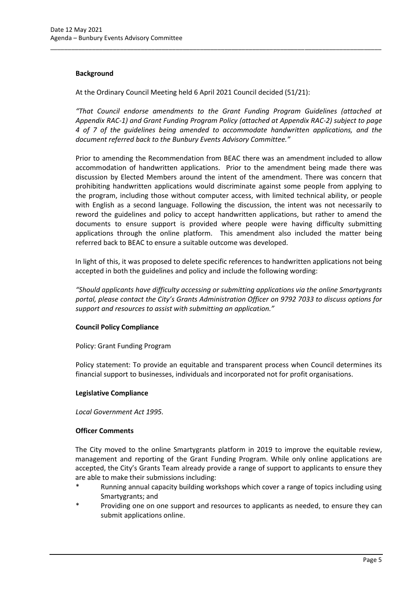## **Background**

At the Ordinary Council Meeting held 6 April 2021 Council decided (51/21):

*"That Council endorse amendments to the Grant Funding Program Guidelines (attached at Appendix RAC-1) and Grant Funding Program Policy (attached at Appendix RAC-2) subject to page 4 of 7 of the guidelines being amended to accommodate handwritten applications, and the document referred back to the Bunbury Events Advisory Committee."*

\_\_\_\_\_\_\_\_\_\_\_\_\_\_\_\_\_\_\_\_\_\_\_\_\_\_\_\_\_\_\_\_\_\_\_\_\_\_\_\_\_\_\_\_\_\_\_\_\_\_\_\_\_\_\_\_\_\_\_\_\_\_\_\_\_\_\_\_\_\_\_\_\_\_\_\_\_\_\_\_\_\_\_\_\_\_\_\_\_\_\_\_\_\_\_

Prior to amending the Recommendation from BEAC there was an amendment included to allow accommodation of handwritten applications. Prior to the amendment being made there was discussion by Elected Members around the intent of the amendment. There was concern that prohibiting handwritten applications would discriminate against some people from applying to the program, including those without computer access, with limited technical ability, or people with English as a second language. Following the discussion, the intent was not necessarily to reword the guidelines and policy to accept handwritten applications, but rather to amend the documents to ensure support is provided where people were having difficulty submitting applications through the online platform. This amendment also included the matter being referred back to BEAC to ensure a suitable outcome was developed.

In light of this, it was proposed to delete specific references to handwritten applications not being accepted in both the guidelines and policy and include the following wording:

*"Should applicants have difficulty accessing or submitting applications via the online Smartygrants portal, please contact the City's Grants Administration Officer on 9792 7033 to discuss options for support and resources to assist with submitting an application."*

#### **Council Policy Compliance**

Policy: Grant Funding Program

Policy statement: To provide an equitable and transparent process when Council determines its financial support to businesses, individuals and incorporated not for profit organisations.

#### **Legislative Compliance**

*Local Government Act 1995.*

#### **Officer Comments**

The City moved to the online Smartygrants platform in 2019 to improve the equitable review, management and reporting of the Grant Funding Program. While only online applications are accepted, the City's Grants Team already provide a range of support to applicants to ensure they are able to make their submissions including:

- Running annual capacity building workshops which cover a range of topics including using Smartygrants; and
- Providing one on one support and resources to applicants as needed, to ensure they can submit applications online.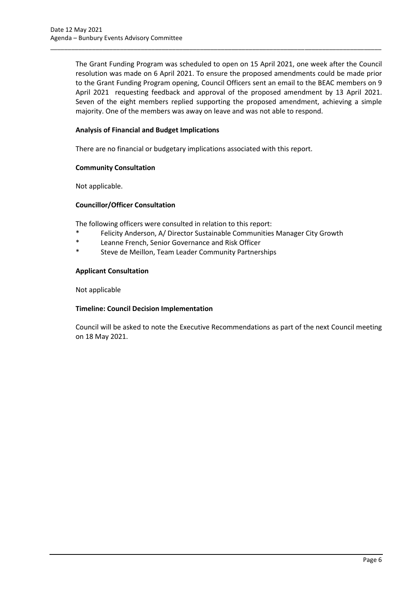The Grant Funding Program was scheduled to open on 15 April 2021, one week after the Council resolution was made on 6 April 2021. To ensure the proposed amendments could be made prior to the Grant Funding Program opening, Council Officers sent an email to the BEAC members on 9 April 2021 requesting feedback and approval of the proposed amendment by 13 April 2021. Seven of the eight members replied supporting the proposed amendment, achieving a simple majority. One of the members was away on leave and was not able to respond.

\_\_\_\_\_\_\_\_\_\_\_\_\_\_\_\_\_\_\_\_\_\_\_\_\_\_\_\_\_\_\_\_\_\_\_\_\_\_\_\_\_\_\_\_\_\_\_\_\_\_\_\_\_\_\_\_\_\_\_\_\_\_\_\_\_\_\_\_\_\_\_\_\_\_\_\_\_\_\_\_\_\_\_\_\_\_\_\_\_\_\_\_\_\_\_

# **Analysis of Financial and Budget Implications**

There are no financial or budgetary implications associated with this report.

#### **Community Consultation**

Not applicable.

## **Councillor/Officer Consultation**

The following officers were consulted in relation to this report:

- \* Felicity Anderson, A/ Director Sustainable Communities Manager City Growth
- \* Leanne French, Senior Governance and Risk Officer
- \* Steve de Meillon, Team Leader Community Partnerships

#### **Applicant Consultation**

Not applicable

#### **Timeline: Council Decision Implementation**

Council will be asked to note the Executive Recommendations as part of the next Council meeting on 18 May 2021.